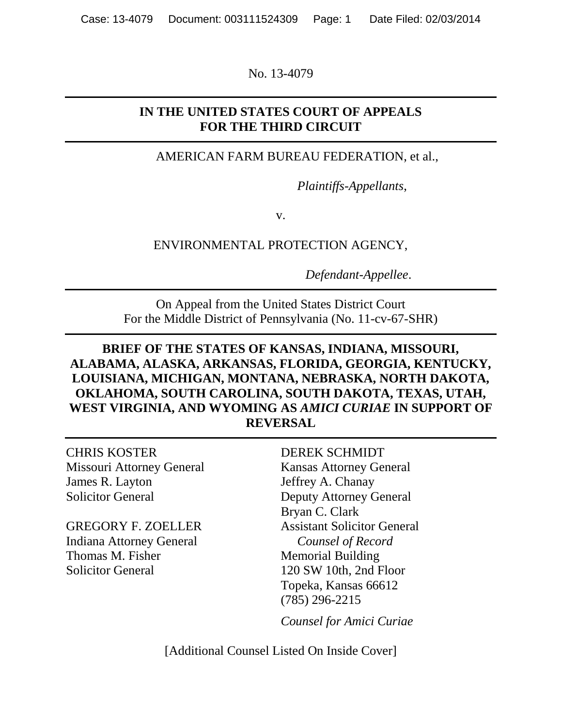No. 13-4079

## **IN THE UNITED STATES COURT OF APPEALS FOR THE THIRD CIRCUIT**

AMERICAN FARM BUREAU FEDERATION, et al.,

*Plaintiffs-Appellants*,

v.

ENVIRONMENTAL PROTECTION AGENCY,

*Defendant-Appellee*.

On Appeal from the United States District Court For the Middle District of Pennsylvania (No. 11-cv-67-SHR)

## **BRIEF OF THE STATES OF KANSAS, INDIANA, MISSOURI, ALABAMA, ALASKA, ARKANSAS, FLORIDA, GEORGIA, KENTUCKY, LOUISIANA, MICHIGAN, MONTANA, NEBRASKA, NORTH DAKOTA, OKLAHOMA, SOUTH CAROLINA, SOUTH DAKOTA, TEXAS, UTAH, WEST VIRGINIA, AND WYOMING AS** *AMICI CURIAE* **IN SUPPORT OF REVERSAL**

CHRIS KOSTER DEREK SCHMIDT Missouri Attorney General Kansas Attorney General James R. Layton Jeffrey A. Chanay

Indiana Attorney General *Counsel of Record* Thomas M. Fisher Memorial Building Solicitor General 120 SW 10th, 2nd Floor

Solicitor General Deputy Attorney General Bryan C. Clark GREGORY F. ZOELLER Assistant Solicitor General Topeka, Kansas 66612 (785) 296-2215

*Counsel for Amici Curiae*

[Additional Counsel Listed On Inside Cover]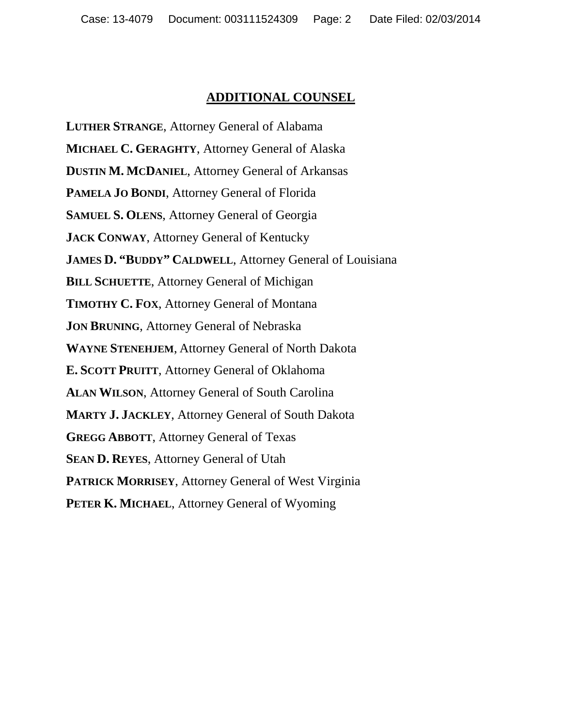#### **ADDITIONAL COUNSEL**

**LUTHER STRANGE**, Attorney General of Alabama **MICHAEL C. GERAGHTY**, Attorney General of Alaska **DUSTIN M. MCDANIEL**, Attorney General of Arkansas **PAMELA JO BONDI**, Attorney General of Florida **SAMUEL S. OLENS**, Attorney General of Georgia **JACK CONWAY**, Attorney General of Kentucky **JAMES D. "BUDDY" CALDWELL**, Attorney General of Louisiana **BILL SCHUETTE**, Attorney General of Michigan **TIMOTHY C. FOX**, Attorney General of Montana **JON BRUNING**, Attorney General of Nebraska **WAYNE STENEHJEM**, Attorney General of North Dakota **E. SCOTT PRUITT**, Attorney General of Oklahoma **ALAN WILSON**, Attorney General of South Carolina **MARTY J. JACKLEY**, Attorney General of South Dakota **GREGG ABBOTT**, Attorney General of Texas **SEAN D. REYES**, Attorney General of Utah **PATRICK MORRISEY**, Attorney General of West Virginia **PETER K. MICHAEL**, Attorney General of Wyoming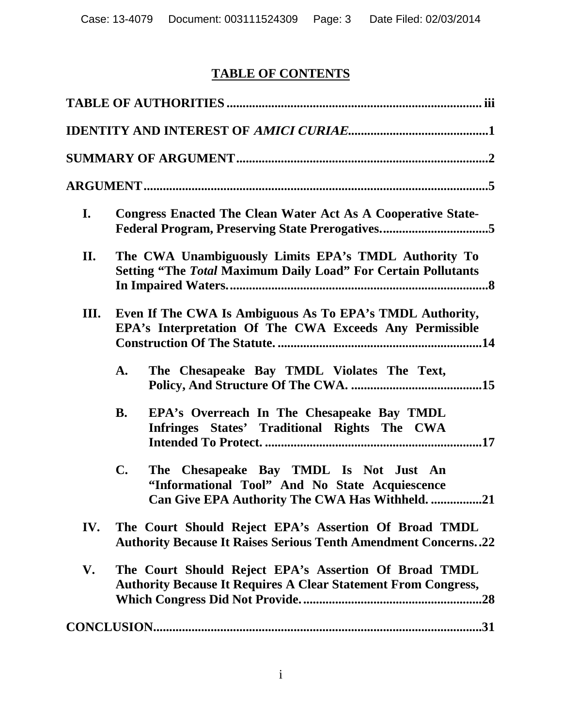# **TABLE OF CONTENTS**

| I.  | <b>Congress Enacted The Clean Water Act As A Cooperative State-</b>                                                                               |
|-----|---------------------------------------------------------------------------------------------------------------------------------------------------|
| II. | The CWA Unambiguously Limits EPA's TMDL Authority To<br><b>Setting "The Total Maximum Daily Load" For Certain Pollutants</b>                      |
| Ш.  | Even If The CWA Is Ambiguous As To EPA's TMDL Authority,<br>EPA's Interpretation Of The CWA Exceeds Any Permissible                               |
|     | The Chesapeake Bay TMDL Violates The Text,<br>A.                                                                                                  |
|     | EPA's Overreach In The Chesapeake Bay TMDL<br><b>B.</b><br>Infringes States' Traditional Rights The CWA                                           |
|     | The Chesapeake Bay TMDL Is Not Just An<br>C.<br>"Informational Tool" And No State Acquiescence<br>Can Give EPA Authority The CWA Has Withheld. 21 |
| IV. | The Court Should Reject EPA's Assertion Of Broad TMDL<br><b>Authority Because It Raises Serious Tenth Amendment Concerns22</b>                    |
| V.  | The Court Should Reject EPA's Assertion Of Broad TMDL<br><b>Authority Because It Requires A Clear Statement From Congress,</b><br>.28             |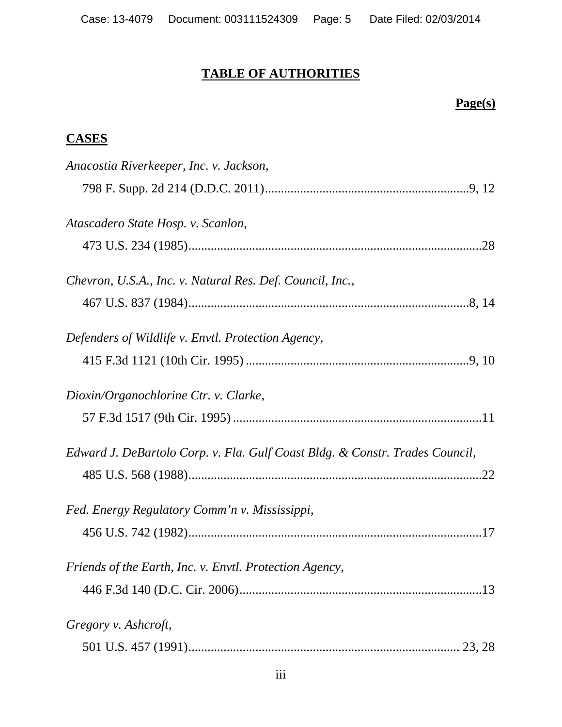## **TABLE OF AUTHORITIES**

# **Page(s)**

## **CASES**

| Anacostia Riverkeeper, Inc. v. Jackson,                                      |
|------------------------------------------------------------------------------|
|                                                                              |
| Atascadero State Hosp. v. Scanlon,                                           |
|                                                                              |
| Chevron, U.S.A., Inc. v. Natural Res. Def. Council, Inc.,                    |
|                                                                              |
| Defenders of Wildlife v. Envtl. Protection Agency,                           |
|                                                                              |
| Dioxin/Organochlorine Ctr. v. Clarke,                                        |
|                                                                              |
| Edward J. DeBartolo Corp. v. Fla. Gulf Coast Bldg. & Constr. Trades Council, |
|                                                                              |
| Fed. Energy Regulatory Comm'n v. Mississippi,                                |
|                                                                              |
| Friends of the Earth, Inc. v. Envtl. Protection Agency,                      |
|                                                                              |
| Gregory v. Ashcroft,                                                         |
|                                                                              |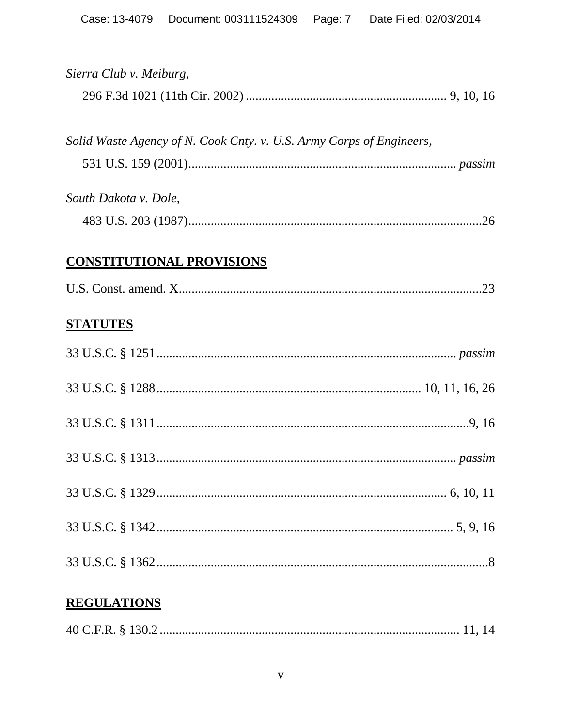| Sierra Club v. Meiburg,                                              |
|----------------------------------------------------------------------|
|                                                                      |
|                                                                      |
| Solid Waste Agency of N. Cook Cnty. v. U.S. Army Corps of Engineers, |
|                                                                      |
| South Dakota v. Dole,                                                |
|                                                                      |
| <b>CONSTITUTIONAL PROVISIONS</b>                                     |
|                                                                      |
|                                                                      |
| <b>STATUTES</b>                                                      |
|                                                                      |
|                                                                      |
|                                                                      |
|                                                                      |
|                                                                      |
|                                                                      |
|                                                                      |
|                                                                      |
|                                                                      |
| <b>REGULATIONS</b>                                                   |
|                                                                      |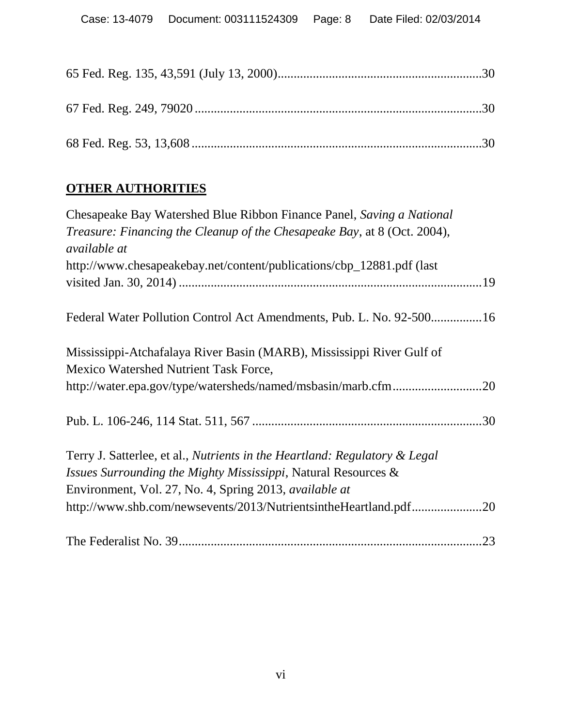## **OTHER AUTHORITIES**

| Chesapeake Bay Watershed Blue Ribbon Finance Panel, Saving a National           |
|---------------------------------------------------------------------------------|
| <i>Treasure: Financing the Cleanup of the Chesapeake Bay, at 8 (Oct. 2004),</i> |
| <i>available at</i>                                                             |
| http://www.chesapeakebay.net/content/publications/cbp_12881.pdf (last           |
|                                                                                 |
| Federal Water Pollution Control Act Amendments, Pub. L. No. 92-50016            |
| Mississippi-Atchafalaya River Basin (MARB), Mississippi River Gulf of           |
| Mexico Watershed Nutrient Task Force,                                           |
| http://water.epa.gov/type/watersheds/named/msbasin/marb.cfm20                   |
|                                                                                 |
| Terry J. Satterlee, et al., Nutrients in the Heartland: Regulatory & Legal      |
| Issues Surrounding the Mighty Mississippi, Natural Resources &                  |
| Environment, Vol. 27, No. 4, Spring 2013, <i>available at</i>                   |
| http://www.shb.com/newsevents/2013/NutrientsintheHeartland.pdf20                |
|                                                                                 |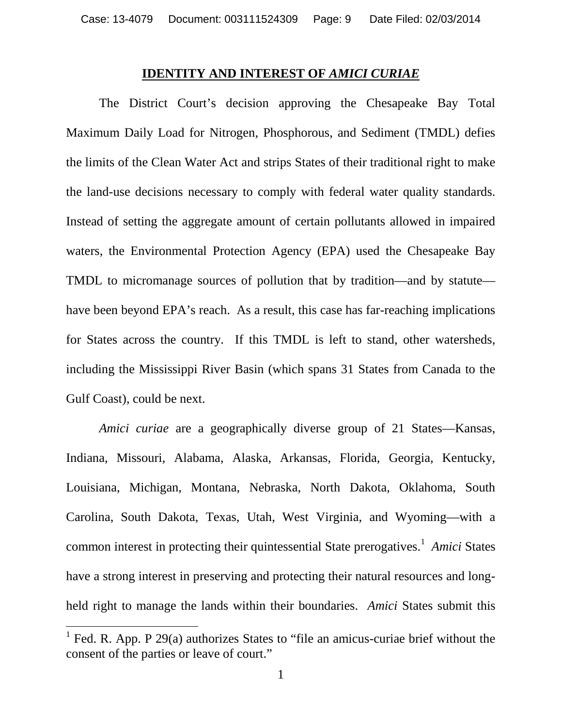#### **IDENTITY AND INTEREST OF** *AMICI CURIAE*

The District Court's decision approving the Chesapeake Bay Total Maximum Daily Load for Nitrogen, Phosphorous, and Sediment (TMDL) defies the limits of the Clean Water Act and strips States of their traditional right to make the land-use decisions necessary to comply with federal water quality standards. Instead of setting the aggregate amount of certain pollutants allowed in impaired waters, the Environmental Protection Agency (EPA) used the Chesapeake Bay TMDL to micromanage sources of pollution that by tradition—and by statute have been beyond EPA's reach. As a result, this case has far-reaching implications for States across the country. If this TMDL is left to stand, other watersheds, including the Mississippi River Basin (which spans 31 States from Canada to the Gulf Coast), could be next.

*Amici curiae* are a geographically diverse group of 21 States—Kansas, Indiana, Missouri, Alabama, Alaska, Arkansas, Florida, Georgia, Kentucky, Louisiana, Michigan, Montana, Nebraska, North Dakota, Oklahoma, South Carolina, South Dakota, Texas, Utah, West Virginia, and Wyoming—with a common interest in protecting their quintessential State prerogatives.<sup>1</sup> Amici States have a strong interest in preserving and protecting their natural resources and longheld right to manage the lands within their boundaries. *Amici* States submit this

 $<sup>1</sup>$  Fed. R. App. P 29(a) authorizes States to "file an amicus-curiae brief without the</sup> consent of the parties or leave of court."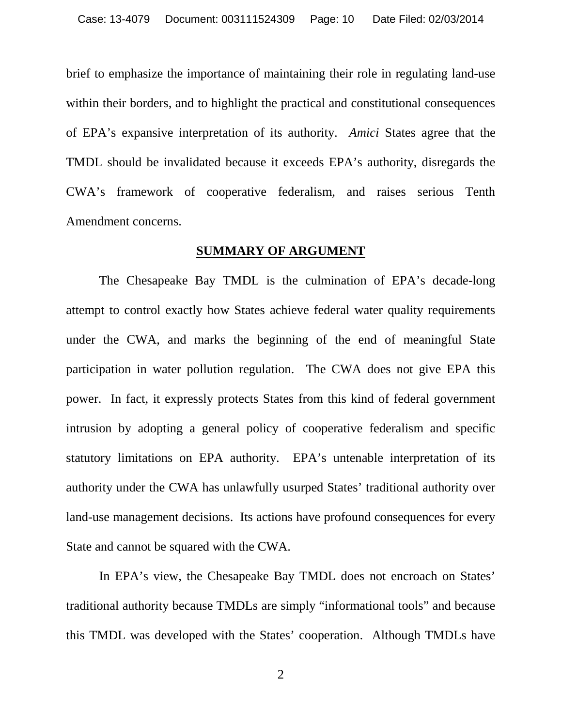brief to emphasize the importance of maintaining their role in regulating land-use within their borders, and to highlight the practical and constitutional consequences of EPA's expansive interpretation of its authority. *Amici* States agree that the TMDL should be invalidated because it exceeds EPA's authority, disregards the CWA's framework of cooperative federalism, and raises serious Tenth Amendment concerns.

#### **SUMMARY OF ARGUMENT**

The Chesapeake Bay TMDL is the culmination of EPA's decade-long attempt to control exactly how States achieve federal water quality requirements under the CWA, and marks the beginning of the end of meaningful State participation in water pollution regulation. The CWA does not give EPA this power. In fact, it expressly protects States from this kind of federal government intrusion by adopting a general policy of cooperative federalism and specific statutory limitations on EPA authority. EPA's untenable interpretation of its authority under the CWA has unlawfully usurped States' traditional authority over land-use management decisions. Its actions have profound consequences for every State and cannot be squared with the CWA.

In EPA's view, the Chesapeake Bay TMDL does not encroach on States' traditional authority because TMDLs are simply "informational tools" and because this TMDL was developed with the States' cooperation. Although TMDLs have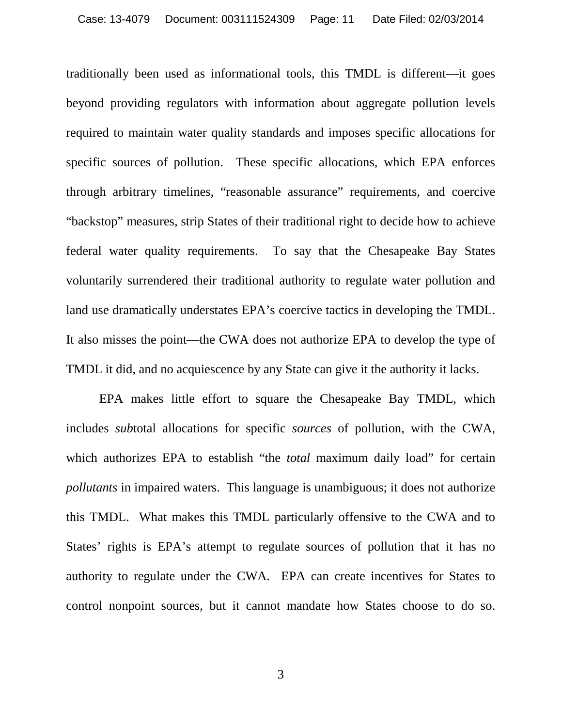traditionally been used as informational tools, this TMDL is different—it goes beyond providing regulators with information about aggregate pollution levels required to maintain water quality standards and imposes specific allocations for specific sources of pollution. These specific allocations, which EPA enforces through arbitrary timelines, "reasonable assurance" requirements, and coercive "backstop" measures, strip States of their traditional right to decide how to achieve federal water quality requirements. To say that the Chesapeake Bay States voluntarily surrendered their traditional authority to regulate water pollution and land use dramatically understates EPA's coercive tactics in developing the TMDL. It also misses the point—the CWA does not authorize EPA to develop the type of TMDL it did, and no acquiescence by any State can give it the authority it lacks.

EPA makes little effort to square the Chesapeake Bay TMDL, which includes *sub*total allocations for specific *sources* of pollution, with the CWA, which authorizes EPA to establish "the *total* maximum daily load" for certain *pollutants* in impaired waters. This language is unambiguous; it does not authorize this TMDL. What makes this TMDL particularly offensive to the CWA and to States' rights is EPA's attempt to regulate sources of pollution that it has no authority to regulate under the CWA. EPA can create incentives for States to control nonpoint sources, but it cannot mandate how States choose to do so.

3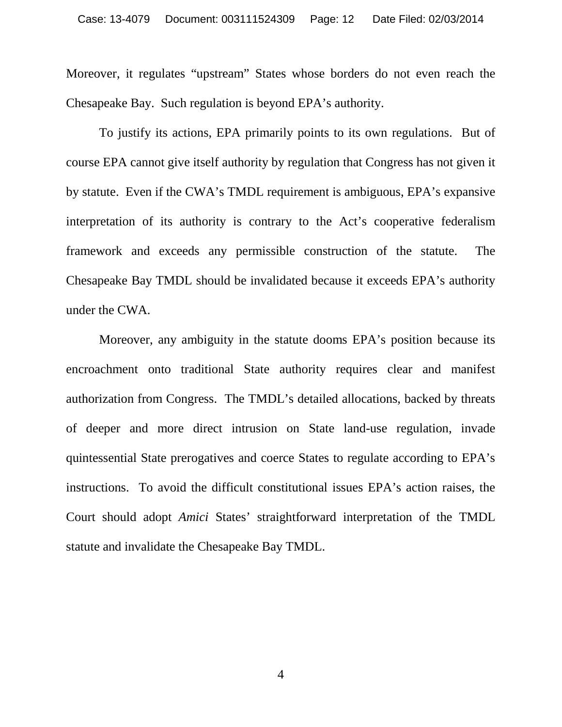Moreover, it regulates "upstream" States whose borders do not even reach the Chesapeake Bay. Such regulation is beyond EPA's authority.

To justify its actions, EPA primarily points to its own regulations. But of course EPA cannot give itself authority by regulation that Congress has not given it by statute. Even if the CWA's TMDL requirement is ambiguous, EPA's expansive interpretation of its authority is contrary to the Act's cooperative federalism framework and exceeds any permissible construction of the statute. The Chesapeake Bay TMDL should be invalidated because it exceeds EPA's authority under the CWA.

Moreover, any ambiguity in the statute dooms EPA's position because its encroachment onto traditional State authority requires clear and manifest authorization from Congress. The TMDL's detailed allocations, backed by threats of deeper and more direct intrusion on State land-use regulation, invade quintessential State prerogatives and coerce States to regulate according to EPA's instructions. To avoid the difficult constitutional issues EPA's action raises, the Court should adopt *Amici* States' straightforward interpretation of the TMDL statute and invalidate the Chesapeake Bay TMDL.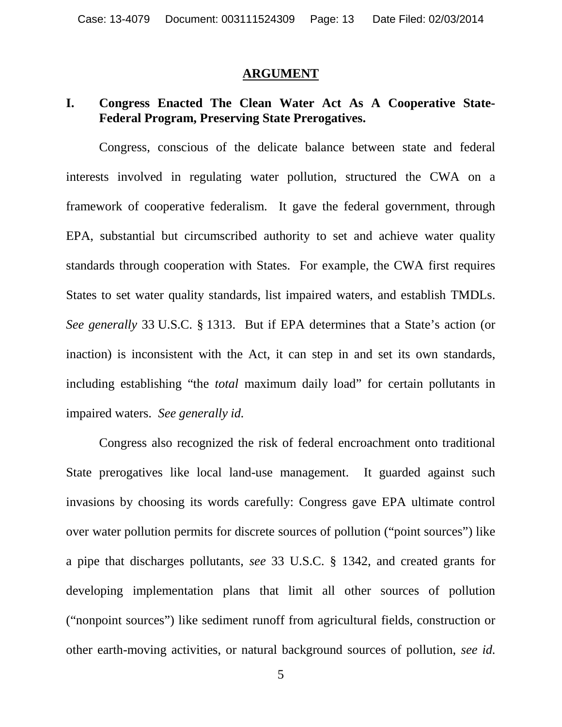#### **ARGUMENT**

### **I. Congress Enacted The Clean Water Act As A Cooperative State-Federal Program, Preserving State Prerogatives.**

Congress, conscious of the delicate balance between state and federal interests involved in regulating water pollution, structured the CWA on a framework of cooperative federalism. It gave the federal government, through EPA, substantial but circumscribed authority to set and achieve water quality standards through cooperation with States. For example, the CWA first requires States to set water quality standards, list impaired waters, and establish TMDLs. *See generally* 33 U.S.C. § 1313. But if EPA determines that a State's action (or inaction) is inconsistent with the Act, it can step in and set its own standards, including establishing "the *total* maximum daily load" for certain pollutants in impaired waters. *See generally id.*

Congress also recognized the risk of federal encroachment onto traditional State prerogatives like local land-use management. It guarded against such invasions by choosing its words carefully: Congress gave EPA ultimate control over water pollution permits for discrete sources of pollution ("point sources") like a pipe that discharges pollutants, *see* 33 U.S.C. § 1342, and created grants for developing implementation plans that limit all other sources of pollution ("nonpoint sources") like sediment runoff from agricultural fields, construction or other earth-moving activities, or natural background sources of pollution, *see id.*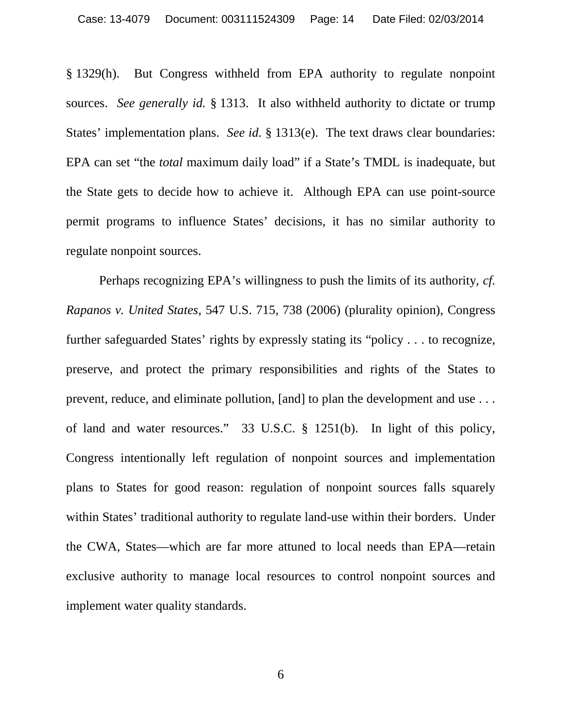§ 1329(h). But Congress withheld from EPA authority to regulate nonpoint sources. *See generally id.* § 1313. It also withheld authority to dictate or trump States' implementation plans. *See id.* § 1313(e). The text draws clear boundaries: EPA can set "the *total* maximum daily load" if a State's TMDL is inadequate, but the State gets to decide how to achieve it. Although EPA can use point-source permit programs to influence States' decisions, it has no similar authority to regulate nonpoint sources.

Perhaps recognizing EPA's willingness to push the limits of its authority, *cf. Rapanos v. United States*, 547 U.S. 715, 738 (2006) (plurality opinion), Congress further safeguarded States' rights by expressly stating its "policy . . . to recognize, preserve, and protect the primary responsibilities and rights of the States to prevent, reduce, and eliminate pollution, [and] to plan the development and use . . . of land and water resources." 33 U.S.C. § 1251(b). In light of this policy, Congress intentionally left regulation of nonpoint sources and implementation plans to States for good reason: regulation of nonpoint sources falls squarely within States' traditional authority to regulate land-use within their borders. Under the CWA, States—which are far more attuned to local needs than EPA—retain exclusive authority to manage local resources to control nonpoint sources and implement water quality standards.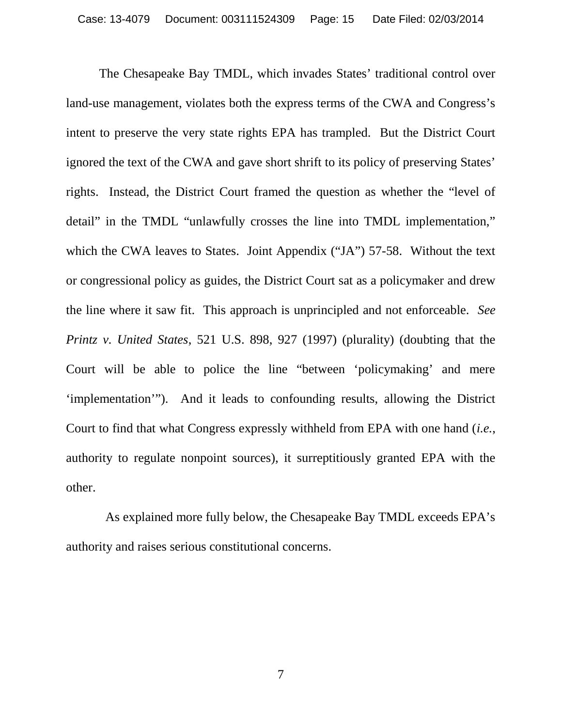The Chesapeake Bay TMDL, which invades States' traditional control over land-use management, violates both the express terms of the CWA and Congress's intent to preserve the very state rights EPA has trampled. But the District Court ignored the text of the CWA and gave short shrift to its policy of preserving States' rights. Instead, the District Court framed the question as whether the "level of detail" in the TMDL "unlawfully crosses the line into TMDL implementation," which the CWA leaves to States. Joint Appendix ("JA") 57-58. Without the text or congressional policy as guides, the District Court sat as a policymaker and drew the line where it saw fit. This approach is unprincipled and not enforceable. *See Printz v. United States*, 521 U.S. 898, 927 (1997) (plurality) (doubting that the Court will be able to police the line "between 'policymaking' and mere 'implementation'"). And it leads to confounding results, allowing the District Court to find that what Congress expressly withheld from EPA with one hand (*i.e.*, authority to regulate nonpoint sources), it surreptitiously granted EPA with the other.

As explained more fully below, the Chesapeake Bay TMDL exceeds EPA's authority and raises serious constitutional concerns.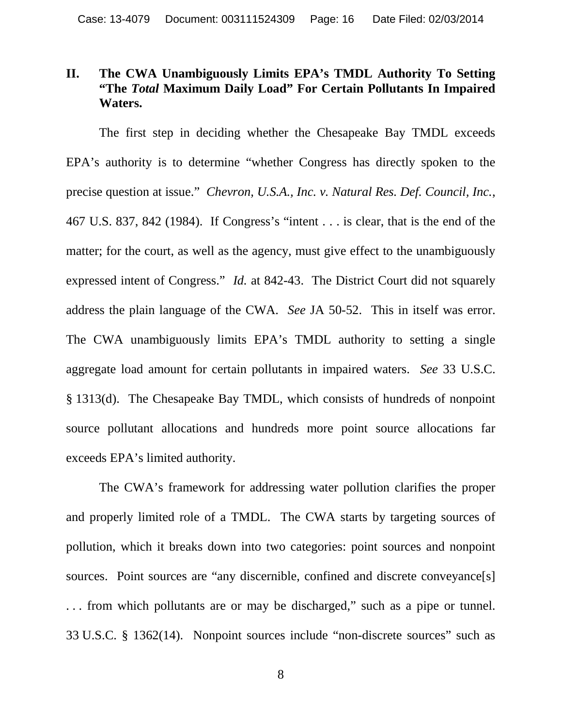### **II. The CWA Unambiguously Limits EPA's TMDL Authority To Setting "The** *Total* **Maximum Daily Load" For Certain Pollutants In Impaired Waters.**

The first step in deciding whether the Chesapeake Bay TMDL exceeds EPA's authority is to determine "whether Congress has directly spoken to the precise question at issue." *Chevron, U.S.A., Inc. v. Natural Res. Def. Council, Inc.*, 467 U.S. 837, 842 (1984). If Congress's "intent . . . is clear, that is the end of the matter; for the court, as well as the agency, must give effect to the unambiguously expressed intent of Congress." *Id.* at 842-43. The District Court did not squarely address the plain language of the CWA. *See* JA 50-52. This in itself was error. The CWA unambiguously limits EPA's TMDL authority to setting a single aggregate load amount for certain pollutants in impaired waters. *See* 33 U.S.C. § 1313(d). The Chesapeake Bay TMDL, which consists of hundreds of nonpoint source pollutant allocations and hundreds more point source allocations far exceeds EPA's limited authority.

The CWA's framework for addressing water pollution clarifies the proper and properly limited role of a TMDL. The CWA starts by targeting sources of pollution, which it breaks down into two categories: point sources and nonpoint sources. Point sources are "any discernible, confined and discrete conveyance[s] . . . from which pollutants are or may be discharged," such as a pipe or tunnel. 33 U.S.C. § 1362(14). Nonpoint sources include "non-discrete sources" such as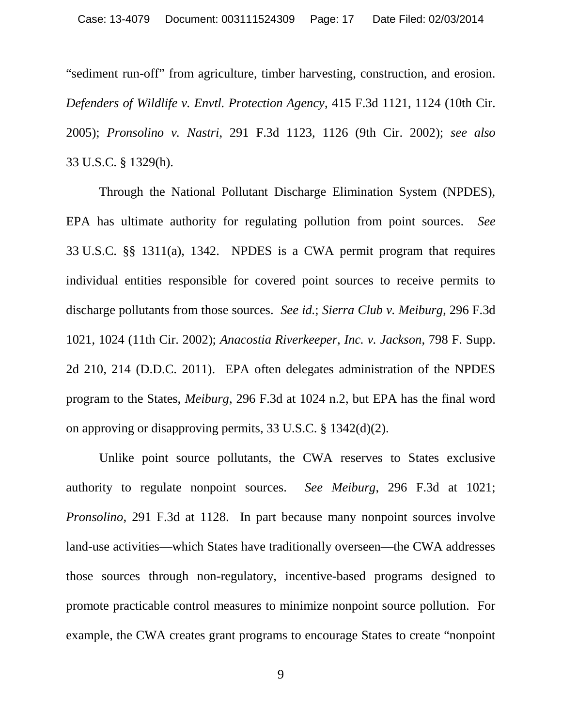"sediment run-off" from agriculture, timber harvesting, construction, and erosion. *Defenders of Wildlife v. Envtl. Protection Agency*, 415 F.3d 1121, 1124 (10th Cir. 2005); *Pronsolino v. Nastri*, 291 F.3d 1123, 1126 (9th Cir. 2002); *see also* 33 U.S.C. § 1329(h).

Through the National Pollutant Discharge Elimination System (NPDES), EPA has ultimate authority for regulating pollution from point sources. *See* 33 U.S.C. §§ 1311(a), 1342. NPDES is a CWA permit program that requires individual entities responsible for covered point sources to receive permits to discharge pollutants from those sources. *See id.*; *Sierra Club v. Meiburg*, 296 F.3d 1021, 1024 (11th Cir. 2002); *Anacostia Riverkeeper, Inc. v. Jackson*, 798 F. Supp. 2d 210, 214 (D.D.C. 2011). EPA often delegates administration of the NPDES program to the States, *Meiburg*, 296 F.3d at 1024 n.2, but EPA has the final word on approving or disapproving permits, 33 U.S.C. § 1342(d)(2).

Unlike point source pollutants, the CWA reserves to States exclusive authority to regulate nonpoint sources. *See Meiburg*, 296 F.3d at 1021; *Pronsolino*, 291 F.3d at 1128. In part because many nonpoint sources involve land-use activities—which States have traditionally overseen—the CWA addresses those sources through non-regulatory, incentive-based programs designed to promote practicable control measures to minimize nonpoint source pollution. For example, the CWA creates grant programs to encourage States to create "nonpoint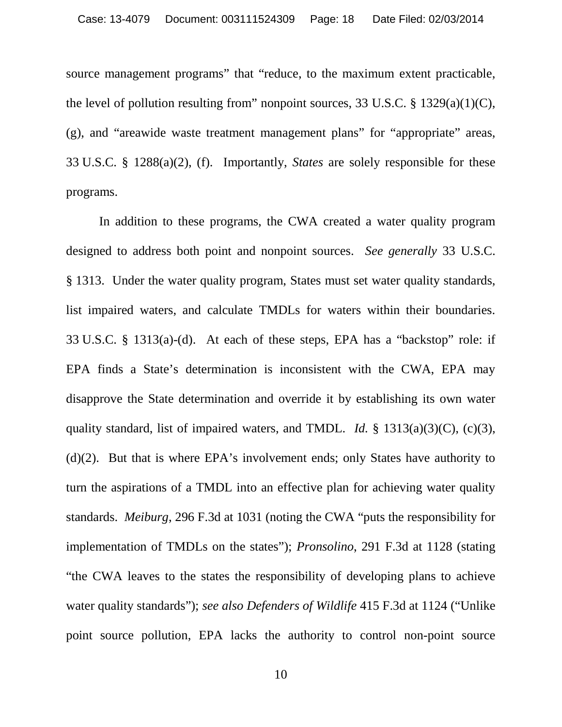source management programs" that "reduce, to the maximum extent practicable, the level of pollution resulting from" nonpoint sources, 33 U.S.C. § 1329(a)(1)(C), (g), and "areawide waste treatment management plans" for "appropriate" areas, 33 U.S.C. § 1288(a)(2), (f). Importantly, *States* are solely responsible for these programs.

In addition to these programs, the CWA created a water quality program designed to address both point and nonpoint sources. *See generally* 33 U.S.C. § 1313. Under the water quality program, States must set water quality standards, list impaired waters, and calculate TMDLs for waters within their boundaries. 33 U.S.C. § 1313(a)-(d). At each of these steps, EPA has a "backstop" role: if EPA finds a State's determination is inconsistent with the CWA, EPA may disapprove the State determination and override it by establishing its own water quality standard, list of impaired waters, and TMDL. *Id.* § 1313(a)(3)(C), (c)(3), (d)(2). But that is where EPA's involvement ends; only States have authority to turn the aspirations of a TMDL into an effective plan for achieving water quality standards. *Meiburg*, 296 F.3d at 1031 (noting the CWA "puts the responsibility for implementation of TMDLs on the states"); *Pronsolino*, 291 F.3d at 1128 (stating "the CWA leaves to the states the responsibility of developing plans to achieve water quality standards"); *see also Defenders of Wildlife* 415 F.3d at 1124 ("Unlike point source pollution, EPA lacks the authority to control non-point source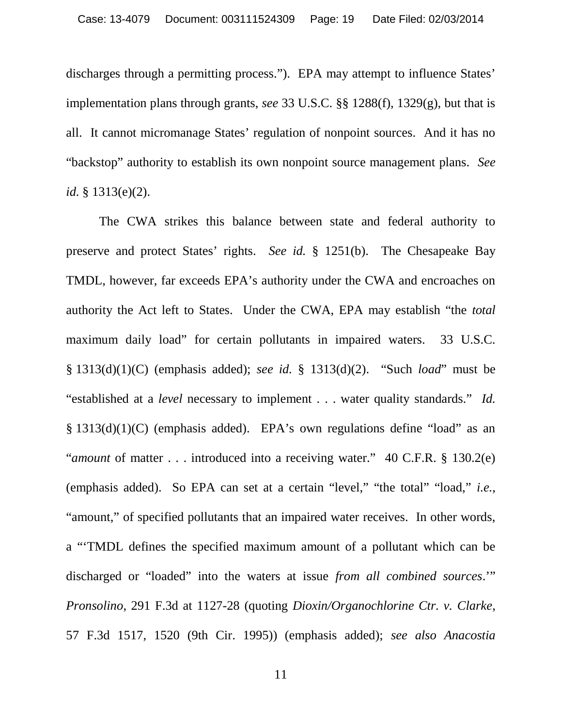discharges through a permitting process."). EPA may attempt to influence States' implementation plans through grants, *see* 33 U.S.C. §§ 1288(f), 1329(g), but that is all. It cannot micromanage States' regulation of nonpoint sources. And it has no "backstop" authority to establish its own nonpoint source management plans. *See id.* § 1313(e)(2).

The CWA strikes this balance between state and federal authority to preserve and protect States' rights. *See id.* § 1251(b). The Chesapeake Bay TMDL, however, far exceeds EPA's authority under the CWA and encroaches on authority the Act left to States. Under the CWA, EPA may establish "the *total* maximum daily load" for certain pollutants in impaired waters. 33 U.S.C. § 1313(d)(1)(C) (emphasis added); *see id.* § 1313(d)(2). "Such *load*" must be "established at a *level* necessary to implement . . . water quality standards." *Id.* § 1313(d)(1)(C) (emphasis added). EPA's own regulations define "load" as an "*amount* of matter . . . introduced into a receiving water." 40 C.F.R. § 130.2(e) (emphasis added). So EPA can set at a certain "level," "the total" "load," *i.e.*, "amount," of specified pollutants that an impaired water receives. In other words, a "'TMDL defines the specified maximum amount of a pollutant which can be discharged or "loaded" into the waters at issue *from all combined sources*.'" *Pronsolino*, 291 F.3d at 1127-28 (quoting *Dioxin/Organochlorine Ctr. v. Clarke*, 57 F.3d 1517, 1520 (9th Cir. 1995)) (emphasis added); *see also Anacostia*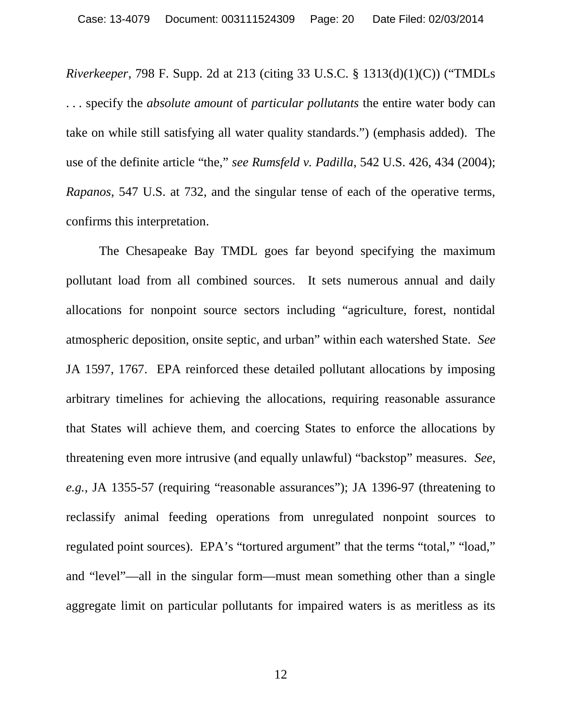*Riverkeeper*, 798 F. Supp. 2d at 213 (citing 33 U.S.C. § 1313(d)(1)(C)) ("TMDLs . . . specify the *absolute amount* of *particular pollutants* the entire water body can take on while still satisfying all water quality standards.") (emphasis added). The use of the definite article "the," *see Rumsfeld v. Padilla*, 542 U.S. 426, 434 (2004); *Rapanos*, 547 U.S. at 732, and the singular tense of each of the operative terms, confirms this interpretation.

The Chesapeake Bay TMDL goes far beyond specifying the maximum pollutant load from all combined sources. It sets numerous annual and daily allocations for nonpoint source sectors including "agriculture, forest, nontidal atmospheric deposition, onsite septic, and urban" within each watershed State. *See* JA 1597, 1767. EPA reinforced these detailed pollutant allocations by imposing arbitrary timelines for achieving the allocations, requiring reasonable assurance that States will achieve them, and coercing States to enforce the allocations by threatening even more intrusive (and equally unlawful) "backstop" measures. *See, e.g.*, JA 1355-57 (requiring "reasonable assurances"); JA 1396-97 (threatening to reclassify animal feeding operations from unregulated nonpoint sources to regulated point sources). EPA's "tortured argument" that the terms "total," "load," and "level"—all in the singular form—must mean something other than a single aggregate limit on particular pollutants for impaired waters is as meritless as its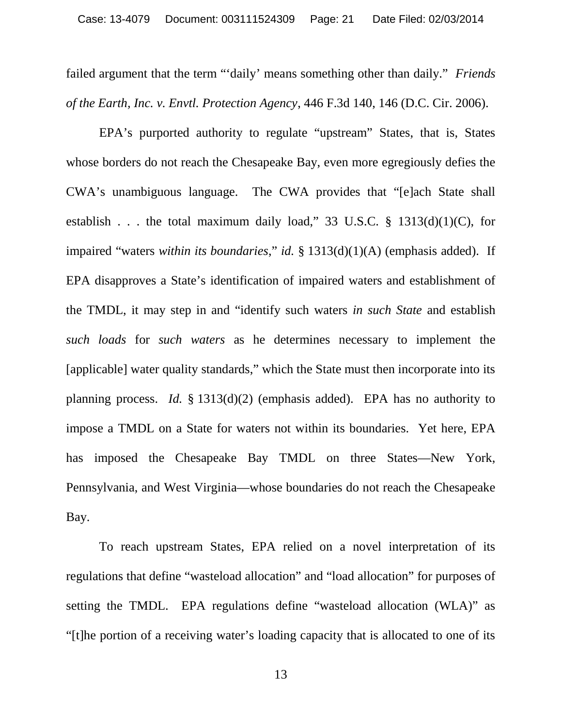failed argument that the term "'daily' means something other than daily." *Friends of the Earth, Inc. v. Envtl. Protection Agency*, 446 F.3d 140, 146 (D.C. Cir. 2006).

EPA's purported authority to regulate "upstream" States, that is, States whose borders do not reach the Chesapeake Bay, even more egregiously defies the CWA's unambiguous language. The CWA provides that "[e]ach State shall establish . . . the total maximum daily load," 33 U.S.C.  $\S$  1313(d)(1)(C), for impaired "waters *within its boundaries*," *id.* § 1313(d)(1)(A) (emphasis added). If EPA disapproves a State's identification of impaired waters and establishment of the TMDL, it may step in and "identify such waters *in such State* and establish *such loads* for *such waters* as he determines necessary to implement the [applicable] water quality standards," which the State must then incorporate into its planning process. *Id.* § 1313(d)(2) (emphasis added). EPA has no authority to impose a TMDL on a State for waters not within its boundaries. Yet here, EPA has imposed the Chesapeake Bay TMDL on three States—New York, Pennsylvania, and West Virginia—whose boundaries do not reach the Chesapeake Bay.

To reach upstream States, EPA relied on a novel interpretation of its regulations that define "wasteload allocation" and "load allocation" for purposes of setting the TMDL. EPA regulations define "wasteload allocation (WLA)" as "[t]he portion of a receiving water's loading capacity that is allocated to one of its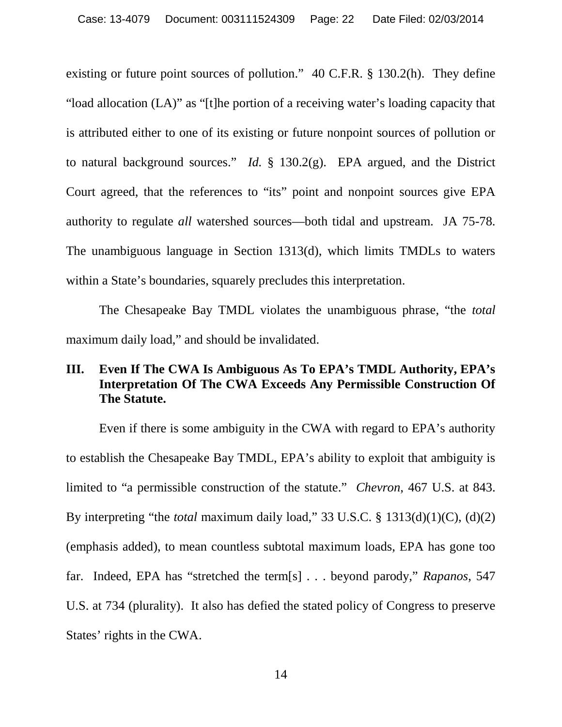existing or future point sources of pollution." 40 C.F.R. § 130.2(h). They define "load allocation (LA)" as "[t]he portion of a receiving water's loading capacity that is attributed either to one of its existing or future nonpoint sources of pollution or to natural background sources." *Id.* § 130.2(g). EPA argued, and the District Court agreed, that the references to "its" point and nonpoint sources give EPA authority to regulate *all* watershed sources—both tidal and upstream. JA 75-78. The unambiguous language in Section 1313(d), which limits TMDLs to waters within a State's boundaries, squarely precludes this interpretation.

The Chesapeake Bay TMDL violates the unambiguous phrase, "the *total* maximum daily load," and should be invalidated.

### **III. Even If The CWA Is Ambiguous As To EPA's TMDL Authority, EPA's Interpretation Of The CWA Exceeds Any Permissible Construction Of The Statute.**

Even if there is some ambiguity in the CWA with regard to EPA's authority to establish the Chesapeake Bay TMDL, EPA's ability to exploit that ambiguity is limited to "a permissible construction of the statute." *Chevron*, 467 U.S. at 843. By interpreting "the *total* maximum daily load," 33 U.S.C. § 1313(d)(1)(C), (d)(2) (emphasis added), to mean countless subtotal maximum loads, EPA has gone too far. Indeed, EPA has "stretched the term[s] . . . beyond parody," *Rapanos*, 547 U.S. at 734 (plurality). It also has defied the stated policy of Congress to preserve States' rights in the CWA.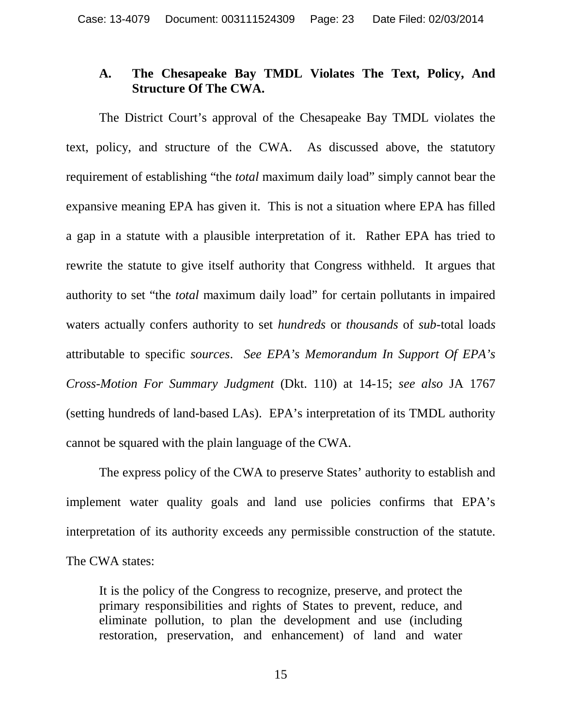#### **A. The Chesapeake Bay TMDL Violates The Text, Policy, And Structure Of The CWA.**

The District Court's approval of the Chesapeake Bay TMDL violates the text, policy, and structure of the CWA. As discussed above, the statutory requirement of establishing "the *total* maximum daily load" simply cannot bear the expansive meaning EPA has given it. This is not a situation where EPA has filled a gap in a statute with a plausible interpretation of it. Rather EPA has tried to rewrite the statute to give itself authority that Congress withheld. It argues that authority to set "the *total* maximum daily load" for certain pollutants in impaired waters actually confers authority to set *hundreds* or *thousands* of *sub*-total load*s* attributable to specific *sources*. *See EPA's Memorandum In Support Of EPA's Cross-Motion For Summary Judgment* (Dkt. 110) at 14-15; *see also* JA 1767 (setting hundreds of land-based LAs). EPA's interpretation of its TMDL authority cannot be squared with the plain language of the CWA.

The express policy of the CWA to preserve States' authority to establish and implement water quality goals and land use policies confirms that EPA's interpretation of its authority exceeds any permissible construction of the statute. The CWA states:

It is the policy of the Congress to recognize, preserve, and protect the primary responsibilities and rights of States to prevent, reduce, and eliminate pollution, to plan the development and use (including restoration, preservation, and enhancement) of land and water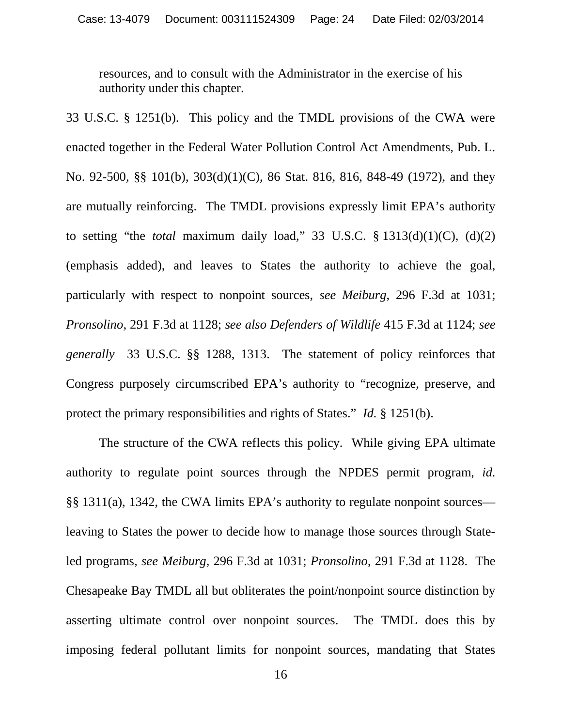resources, and to consult with the Administrator in the exercise of his authority under this chapter.

33 U.S.C. § 1251(b). This policy and the TMDL provisions of the CWA were enacted together in the Federal Water Pollution Control Act Amendments, Pub. L. No. 92-500, §§ 101(b), 303(d)(1)(C), 86 Stat. 816, 816, 848-49 (1972), and they are mutually reinforcing. The TMDL provisions expressly limit EPA's authority to setting "the *total* maximum daily load," 33 U.S.C. § 1313(d)(1)(C), (d)(2) (emphasis added), and leaves to States the authority to achieve the goal, particularly with respect to nonpoint sources, *see Meiburg*, 296 F.3d at 1031; *Pronsolino*, 291 F.3d at 1128; *see also Defenders of Wildlife* 415 F.3d at 1124; *see generally* 33 U.S.C. §§ 1288, 1313. The statement of policy reinforces that Congress purposely circumscribed EPA's authority to "recognize, preserve, and protect the primary responsibilities and rights of States." *Id.* § 1251(b).

The structure of the CWA reflects this policy. While giving EPA ultimate authority to regulate point sources through the NPDES permit program, *id.* §§ 1311(a), 1342, the CWA limits EPA's authority to regulate nonpoint sources leaving to States the power to decide how to manage those sources through Stateled programs, *see Meiburg*, 296 F.3d at 1031; *Pronsolino*, 291 F.3d at 1128. The Chesapeake Bay TMDL all but obliterates the point/nonpoint source distinction by asserting ultimate control over nonpoint sources. The TMDL does this by imposing federal pollutant limits for nonpoint sources, mandating that States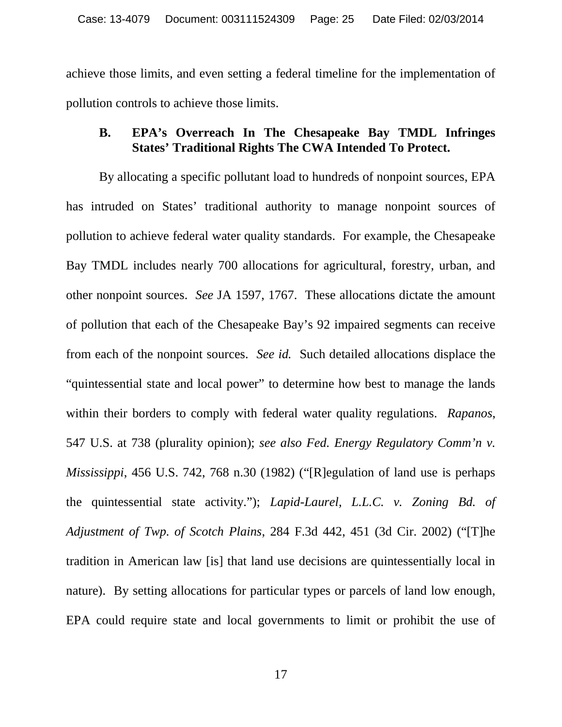achieve those limits, and even setting a federal timeline for the implementation of pollution controls to achieve those limits.

### **B. EPA's Overreach In The Chesapeake Bay TMDL Infringes States' Traditional Rights The CWA Intended To Protect.**

By allocating a specific pollutant load to hundreds of nonpoint sources, EPA has intruded on States' traditional authority to manage nonpoint sources of pollution to achieve federal water quality standards. For example, the Chesapeake Bay TMDL includes nearly 700 allocations for agricultural, forestry, urban, and other nonpoint sources. *See* JA 1597, 1767. These allocations dictate the amount of pollution that each of the Chesapeake Bay's 92 impaired segments can receive from each of the nonpoint sources. *See id.* Such detailed allocations displace the "quintessential state and local power" to determine how best to manage the lands within their borders to comply with federal water quality regulations. *Rapanos*, 547 U.S. at 738 (plurality opinion); *see also Fed. Energy Regulatory Comm'n v. Mississippi*, 456 U.S. 742, 768 n.30 (1982) ("[R]egulation of land use is perhaps the quintessential state activity."); *Lapid-Laurel, L.L.C. v. Zoning Bd. of Adjustment of Twp. of Scotch Plains*, 284 F.3d 442, 451 (3d Cir. 2002) ("[T]he tradition in American law [is] that land use decisions are quintessentially local in nature). By setting allocations for particular types or parcels of land low enough, EPA could require state and local governments to limit or prohibit the use of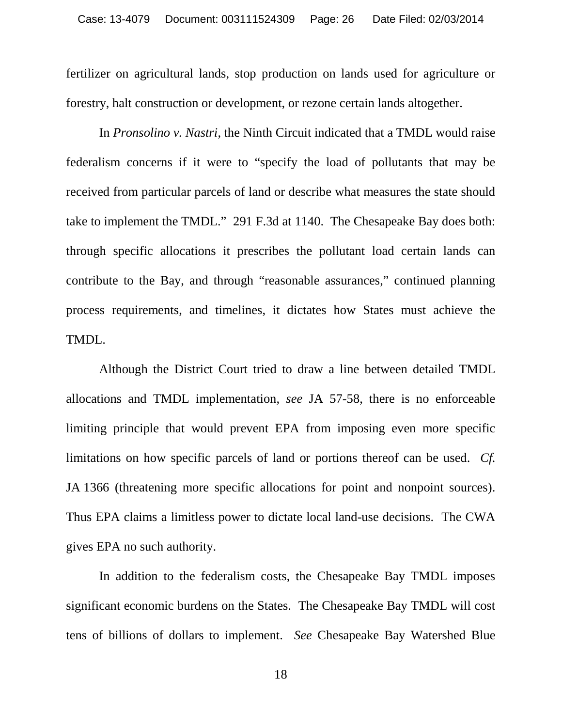fertilizer on agricultural lands, stop production on lands used for agriculture or forestry, halt construction or development, or rezone certain lands altogether.

In *Pronsolino v. Nastri*, the Ninth Circuit indicated that a TMDL would raise federalism concerns if it were to "specify the load of pollutants that may be received from particular parcels of land or describe what measures the state should take to implement the TMDL." 291 F.3d at 1140. The Chesapeake Bay does both: through specific allocations it prescribes the pollutant load certain lands can contribute to the Bay, and through "reasonable assurances," continued planning process requirements, and timelines, it dictates how States must achieve the TMDL.

Although the District Court tried to draw a line between detailed TMDL allocations and TMDL implementation, *see* JA 57-58, there is no enforceable limiting principle that would prevent EPA from imposing even more specific limitations on how specific parcels of land or portions thereof can be used. *Cf.* JA 1366 (threatening more specific allocations for point and nonpoint sources). Thus EPA claims a limitless power to dictate local land-use decisions. The CWA gives EPA no such authority.

In addition to the federalism costs, the Chesapeake Bay TMDL imposes significant economic burdens on the States. The Chesapeake Bay TMDL will cost tens of billions of dollars to implement. *See* Chesapeake Bay Watershed Blue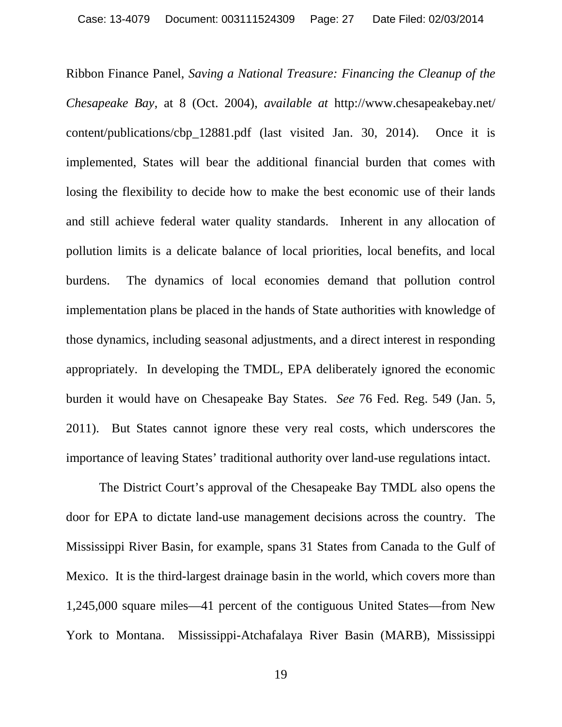Ribbon Finance Panel, *Saving a National Treasure: Financing the Cleanup of the Chesapeake Bay*, at 8 (Oct. 2004), *available at* http://www.chesapeakebay.net/ content/publications/cbp\_12881.pdf (last visited Jan. 30, 2014). Once it is implemented, States will bear the additional financial burden that comes with losing the flexibility to decide how to make the best economic use of their lands and still achieve federal water quality standards. Inherent in any allocation of pollution limits is a delicate balance of local priorities, local benefits, and local burdens. The dynamics of local economies demand that pollution control implementation plans be placed in the hands of State authorities with knowledge of those dynamics, including seasonal adjustments, and a direct interest in responding appropriately. In developing the TMDL, EPA deliberately ignored the economic burden it would have on Chesapeake Bay States. *See* 76 Fed. Reg. 549 (Jan. 5, 2011). But States cannot ignore these very real costs, which underscores the importance of leaving States' traditional authority over land-use regulations intact.

The District Court's approval of the Chesapeake Bay TMDL also opens the door for EPA to dictate land-use management decisions across the country. The Mississippi River Basin, for example, spans 31 States from Canada to the Gulf of Mexico. It is the third-largest drainage basin in the world, which covers more than 1,245,000 square miles—41 percent of the contiguous United States—from New York to Montana. Mississippi-Atchafalaya River Basin (MARB), Mississippi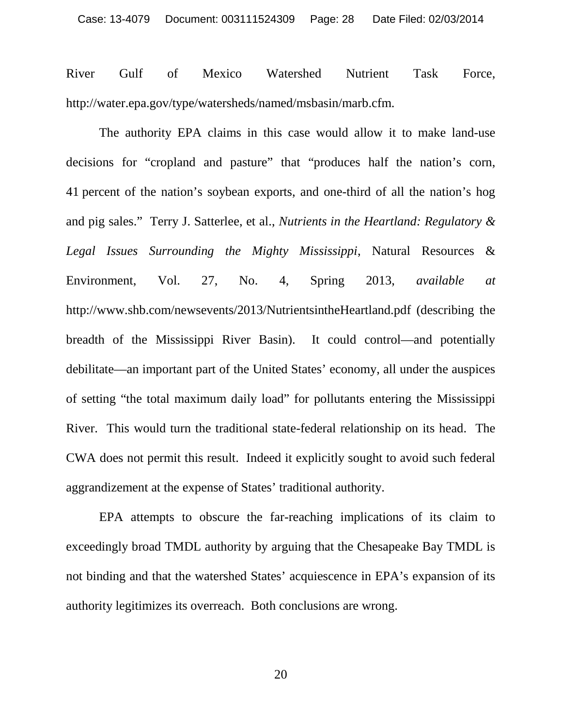River Gulf of Mexico Watershed Nutrient Task Force, http://water.epa.gov/type/watersheds/named/msbasin/marb.cfm.

The authority EPA claims in this case would allow it to make land-use decisions for "cropland and pasture" that "produces half the nation's corn, 41 percent of the nation's soybean exports, and one-third of all the nation's hog and pig sales." Terry J. Satterlee, et al., *Nutrients in the Heartland: Regulatory & Legal Issues Surrounding the Mighty Mississippi*, Natural Resources & Environment, Vol. 27, No. 4, Spring 2013, *available at* http://www.shb.com/newsevents/2013/NutrientsintheHeartland.pdf (describing the breadth of the Mississippi River Basin). It could control—and potentially debilitate—an important part of the United States' economy, all under the auspices of setting "the total maximum daily load" for pollutants entering the Mississippi River. This would turn the traditional state-federal relationship on its head. The CWA does not permit this result. Indeed it explicitly sought to avoid such federal aggrandizement at the expense of States' traditional authority.

EPA attempts to obscure the far-reaching implications of its claim to exceedingly broad TMDL authority by arguing that the Chesapeake Bay TMDL is not binding and that the watershed States' acquiescence in EPA's expansion of its authority legitimizes its overreach. Both conclusions are wrong.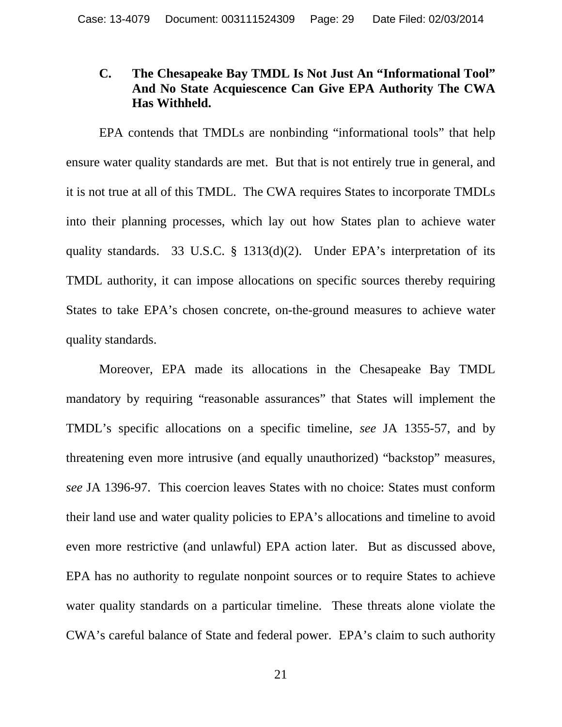#### **C. The Chesapeake Bay TMDL Is Not Just An "Informational Tool" And No State Acquiescence Can Give EPA Authority The CWA Has Withheld.**

EPA contends that TMDLs are nonbinding "informational tools" that help ensure water quality standards are met. But that is not entirely true in general, and it is not true at all of this TMDL. The CWA requires States to incorporate TMDLs into their planning processes, which lay out how States plan to achieve water quality standards. 33 U.S.C. § 1313(d)(2). Under EPA's interpretation of its TMDL authority, it can impose allocations on specific sources thereby requiring States to take EPA's chosen concrete, on-the-ground measures to achieve water quality standards.

Moreover, EPA made its allocations in the Chesapeake Bay TMDL mandatory by requiring "reasonable assurances" that States will implement the TMDL's specific allocations on a specific timeline, *see* JA 1355-57, and by threatening even more intrusive (and equally unauthorized) "backstop" measures, *see* JA 1396-97. This coercion leaves States with no choice: States must conform their land use and water quality policies to EPA's allocations and timeline to avoid even more restrictive (and unlawful) EPA action later. But as discussed above, EPA has no authority to regulate nonpoint sources or to require States to achieve water quality standards on a particular timeline. These threats alone violate the CWA's careful balance of State and federal power. EPA's claim to such authority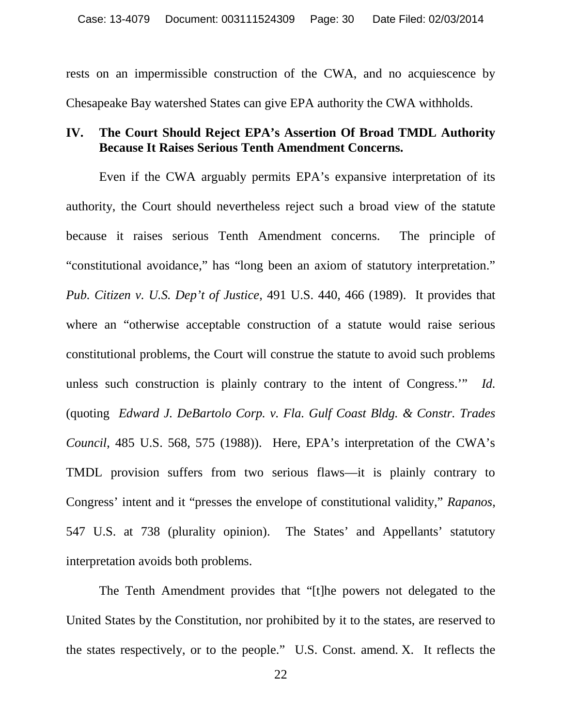rests on an impermissible construction of the CWA, and no acquiescence by Chesapeake Bay watershed States can give EPA authority the CWA withholds.

#### **IV. The Court Should Reject EPA's Assertion Of Broad TMDL Authority Because It Raises Serious Tenth Amendment Concerns.**

Even if the CWA arguably permits EPA's expansive interpretation of its authority, the Court should nevertheless reject such a broad view of the statute because it raises serious Tenth Amendment concerns. The principle of "constitutional avoidance," has "long been an axiom of statutory interpretation." *Pub. Citizen v. U.S. Dep't of Justice*, 491 U.S. 440, 466 (1989). It provides that where an "otherwise acceptable construction of a statute would raise serious constitutional problems, the Court will construe the statute to avoid such problems unless such construction is plainly contrary to the intent of Congress.'" *Id.* (quoting *Edward J. DeBartolo Corp. v. Fla. Gulf Coast Bldg. & Constr. Trades Council*, 485 U.S. 568, 575 (1988)). Here, EPA's interpretation of the CWA's TMDL provision suffers from two serious flaws—it is plainly contrary to Congress' intent and it "presses the envelope of constitutional validity," *Rapanos*, 547 U.S. at 738 (plurality opinion). The States' and Appellants' statutory interpretation avoids both problems.

The Tenth Amendment provides that "[t]he powers not delegated to the United States by the Constitution, nor prohibited by it to the states, are reserved to the states respectively, or to the people." U.S. Const. amend. X. It reflects the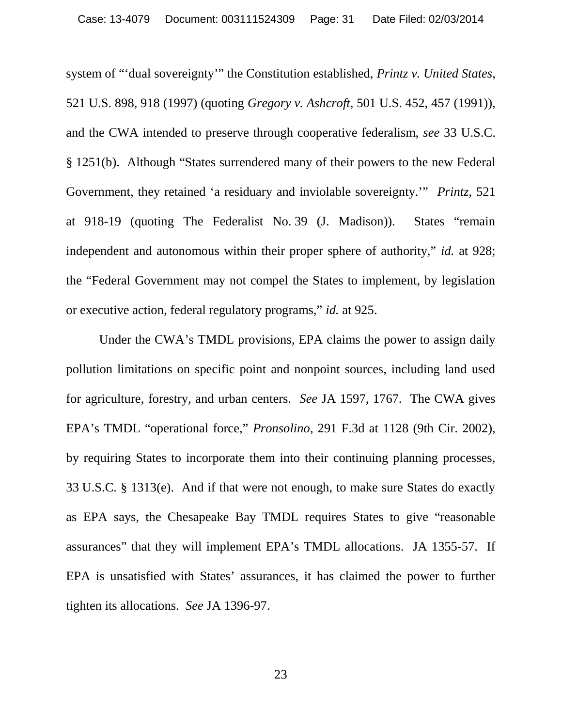system of "'dual sovereignty'" the Constitution established, *Printz v. United States*, 521 U.S. 898, 918 (1997) (quoting *Gregory v. Ashcroft*, 501 U.S. 452, 457 (1991)), and the CWA intended to preserve through cooperative federalism, *see* 33 U.S.C. § 1251(b). Although "States surrendered many of their powers to the new Federal Government, they retained 'a residuary and inviolable sovereignty.'" *Printz*, 521 at 918-19 (quoting The Federalist No. 39 (J. Madison)). States "remain independent and autonomous within their proper sphere of authority," *id.* at 928; the "Federal Government may not compel the States to implement, by legislation or executive action, federal regulatory programs," *id.* at 925.

Under the CWA's TMDL provisions, EPA claims the power to assign daily pollution limitations on specific point and nonpoint sources, including land used for agriculture, forestry, and urban centers. *See* JA 1597, 1767. The CWA gives EPA's TMDL "operational force," *Pronsolino*, 291 F.3d at 1128 (9th Cir. 2002), by requiring States to incorporate them into their continuing planning processes, 33 U.S.C. § 1313(e). And if that were not enough, to make sure States do exactly as EPA says, the Chesapeake Bay TMDL requires States to give "reasonable assurances" that they will implement EPA's TMDL allocations. JA 1355-57. If EPA is unsatisfied with States' assurances, it has claimed the power to further tighten its allocations. *See* JA 1396-97.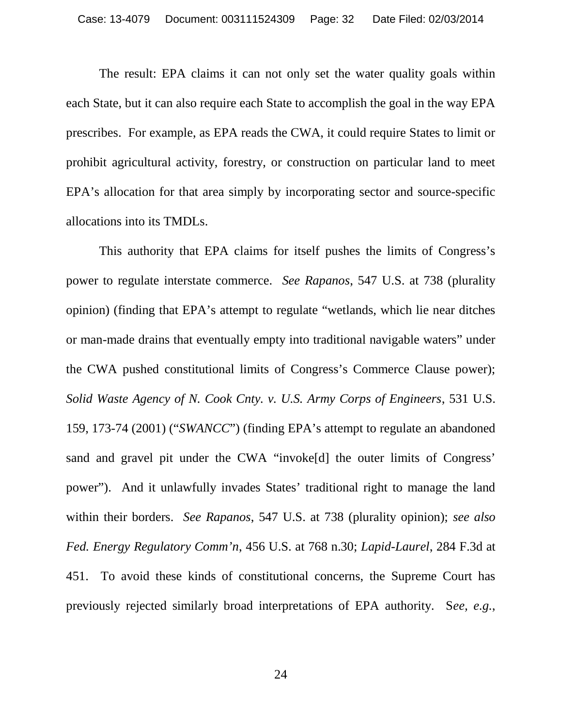The result: EPA claims it can not only set the water quality goals within each State, but it can also require each State to accomplish the goal in the way EPA prescribes. For example, as EPA reads the CWA, it could require States to limit or prohibit agricultural activity, forestry, or construction on particular land to meet EPA's allocation for that area simply by incorporating sector and source-specific allocations into its TMDLs.

This authority that EPA claims for itself pushes the limits of Congress's power to regulate interstate commerce. *See Rapanos*, 547 U.S. at 738 (plurality opinion) (finding that EPA's attempt to regulate "wetlands, which lie near ditches or man-made drains that eventually empty into traditional navigable waters" under the CWA pushed constitutional limits of Congress's Commerce Clause power); *Solid Waste Agency of N. Cook Cnty. v. U.S. Army Corps of Engineers*, 531 U.S. 159, 173-74 (2001) ("*SWANCC*") (finding EPA's attempt to regulate an abandoned sand and gravel pit under the CWA "invoke[d] the outer limits of Congress' power"). And it unlawfully invades States' traditional right to manage the land within their borders. *See Rapanos*, 547 U.S. at 738 (plurality opinion); *see also Fed. Energy Regulatory Comm'n*, 456 U.S. at 768 n.30; *Lapid-Laurel*, 284 F.3d at 451. To avoid these kinds of constitutional concerns, the Supreme Court has previously rejected similarly broad interpretations of EPA authority. S*ee, e.g.*,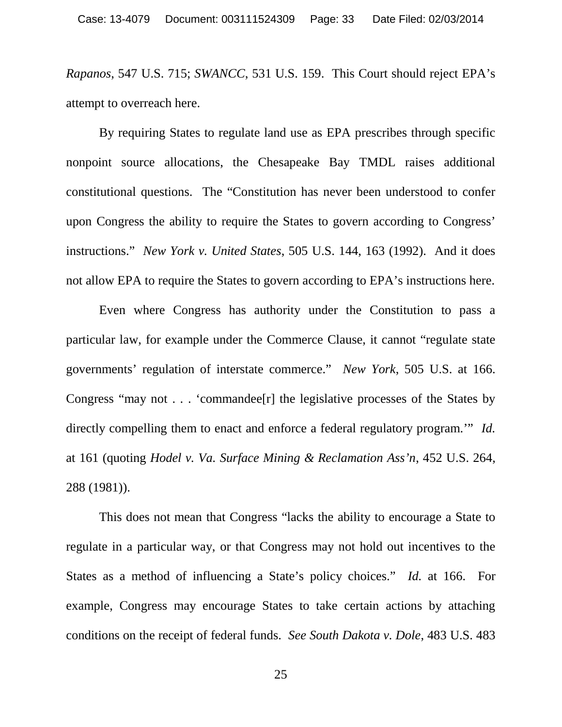*Rapanos*, 547 U.S. 715; *SWANCC*, 531 U.S. 159. This Court should reject EPA's attempt to overreach here.

By requiring States to regulate land use as EPA prescribes through specific nonpoint source allocations, the Chesapeake Bay TMDL raises additional constitutional questions. The "Constitution has never been understood to confer upon Congress the ability to require the States to govern according to Congress' instructions." *New York v. United States*, 505 U.S. 144, 163 (1992). And it does not allow EPA to require the States to govern according to EPA's instructions here.

Even where Congress has authority under the Constitution to pass a particular law, for example under the Commerce Clause, it cannot "regulate state governments' regulation of interstate commerce." *New York*, 505 U.S. at 166. Congress "may not . . . 'commandee[r] the legislative processes of the States by directly compelling them to enact and enforce a federal regulatory program.'" *Id.* at 161 (quoting *Hodel v. Va. Surface Mining & Reclamation Ass'n*, 452 U.S. 264, 288 (1981)).

This does not mean that Congress "lacks the ability to encourage a State to regulate in a particular way, or that Congress may not hold out incentives to the States as a method of influencing a State's policy choices." *Id.* at 166. For example, Congress may encourage States to take certain actions by attaching conditions on the receipt of federal funds. *See South Dakota v. Dole*, 483 U.S. 483

25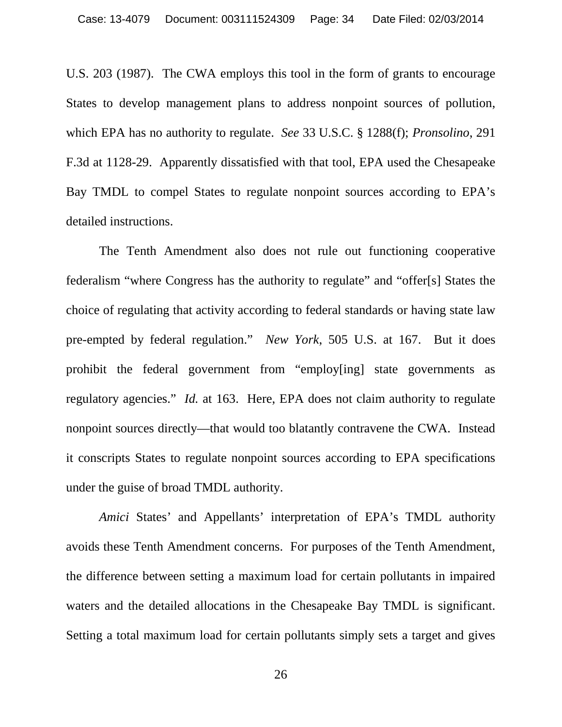U.S. 203 (1987). The CWA employs this tool in the form of grants to encourage States to develop management plans to address nonpoint sources of pollution, which EPA has no authority to regulate. *See* 33 U.S.C. § 1288(f); *Pronsolino*, 291 F.3d at 1128-29. Apparently dissatisfied with that tool, EPA used the Chesapeake Bay TMDL to compel States to regulate nonpoint sources according to EPA's detailed instructions.

The Tenth Amendment also does not rule out functioning cooperative federalism "where Congress has the authority to regulate" and "offer[s] States the choice of regulating that activity according to federal standards or having state law pre-empted by federal regulation." *New York*, 505 U.S. at 167. But it does prohibit the federal government from "employ[ing] state governments as regulatory agencies." *Id.* at 163. Here, EPA does not claim authority to regulate nonpoint sources directly—that would too blatantly contravene the CWA. Instead it conscripts States to regulate nonpoint sources according to EPA specifications under the guise of broad TMDL authority.

*Amici* States' and Appellants' interpretation of EPA's TMDL authority avoids these Tenth Amendment concerns. For purposes of the Tenth Amendment, the difference between setting a maximum load for certain pollutants in impaired waters and the detailed allocations in the Chesapeake Bay TMDL is significant. Setting a total maximum load for certain pollutants simply sets a target and gives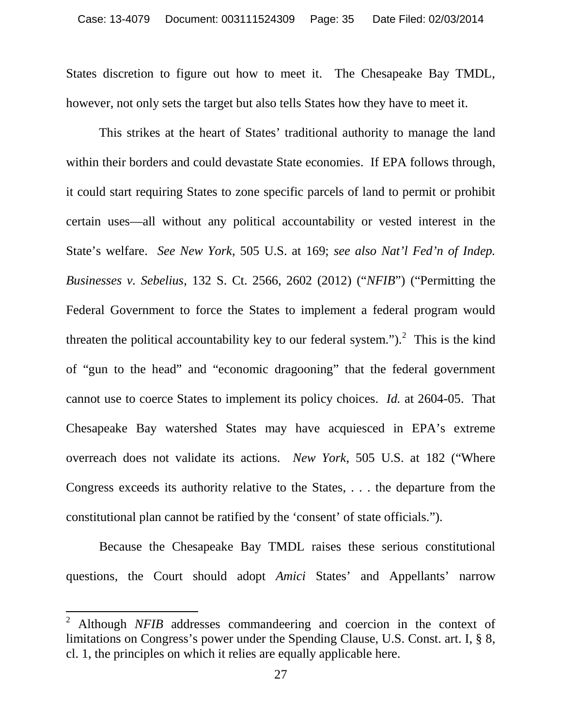States discretion to figure out how to meet it. The Chesapeake Bay TMDL, however, not only sets the target but also tells States how they have to meet it.

This strikes at the heart of States' traditional authority to manage the land within their borders and could devastate State economies. If EPA follows through, it could start requiring States to zone specific parcels of land to permit or prohibit certain uses—all without any political accountability or vested interest in the State's welfare. *See New York*, 505 U.S. at 169; *see also Nat'l Fed'n of Indep. Businesses v. Sebelius*, 132 S. Ct. 2566, 2602 (2012) ("*NFIB*") ("Permitting the Federal Government to force the States to implement a federal program would threaten the political accountability key to our federal system.").<sup>2</sup> This is the kind of "gun to the head" and "economic dragooning" that the federal government cannot use to coerce States to implement its policy choices. *Id.* at 2604-05. That Chesapeake Bay watershed States may have acquiesced in EPA's extreme overreach does not validate its actions. *New York*, 505 U.S. at 182 ("Where Congress exceeds its authority relative to the States, . . . the departure from the constitutional plan cannot be ratified by the 'consent' of state officials.").

Because the Chesapeake Bay TMDL raises these serious constitutional questions, the Court should adopt *Amici* States' and Appellants' narrow

<sup>2</sup> Although *NFIB* addresses commandeering and coercion in the context of limitations on Congress's power under the Spending Clause, U.S. Const. art. I, § 8, cl. 1, the principles on which it relies are equally applicable here.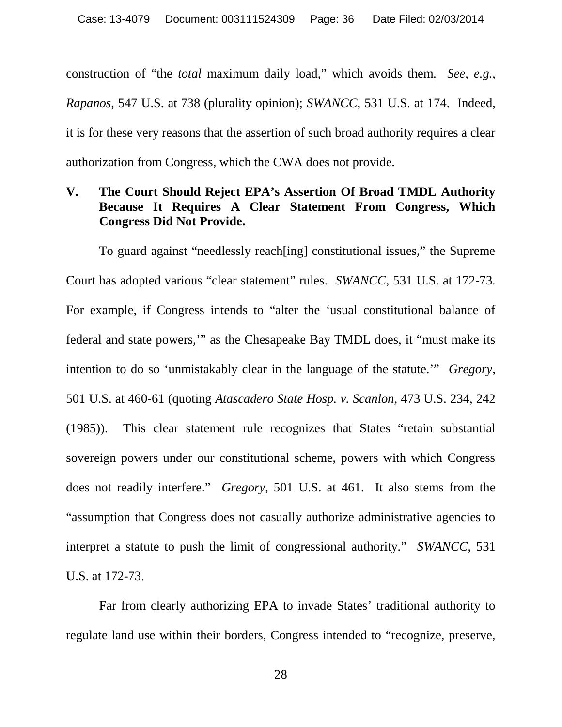construction of "the *total* maximum daily load," which avoids them. *See, e.g.*, *Rapanos*, 547 U.S. at 738 (plurality opinion); *SWANCC*, 531 U.S. at 174. Indeed, it is for these very reasons that the assertion of such broad authority requires a clear authorization from Congress, which the CWA does not provide.

### **V. The Court Should Reject EPA's Assertion Of Broad TMDL Authority Because It Requires A Clear Statement From Congress, Which Congress Did Not Provide.**

To guard against "needlessly reach[ing] constitutional issues," the Supreme Court has adopted various "clear statement" rules. *SWANCC*, 531 U.S. at 172-73. For example, if Congress intends to "alter the 'usual constitutional balance of federal and state powers,'" as the Chesapeake Bay TMDL does, it "must make its intention to do so 'unmistakably clear in the language of the statute.'" *Gregory*, 501 U.S. at 460-61 (quoting *Atascadero State Hosp. v. Scanlon*, 473 U.S. 234, 242 (1985)). This clear statement rule recognizes that States "retain substantial sovereign powers under our constitutional scheme, powers with which Congress does not readily interfere." *Gregory*, 501 U.S. at 461. It also stems from the "assumption that Congress does not casually authorize administrative agencies to interpret a statute to push the limit of congressional authority." *SWANCC*, 531 U.S. at 172-73.

Far from clearly authorizing EPA to invade States' traditional authority to regulate land use within their borders, Congress intended to "recognize, preserve,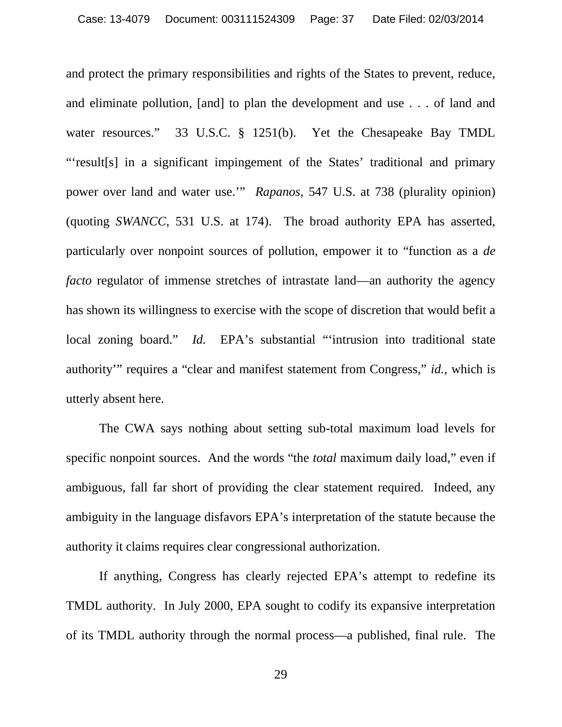and protect the primary responsibilities and rights of the States to prevent, reduce, and eliminate pollution, [and] to plan the development and use . . . of land and water resources." 33 U.S.C. § 1251(b). Yet the Chesapeake Bay TMDL "'result[s] in a significant impingement of the States' traditional and primary power over land and water use.'" *Rapanos*, 547 U.S. at 738 (plurality opinion) (quoting *SWANCC*, 531 U.S. at 174). The broad authority EPA has asserted, particularly over nonpoint sources of pollution, empower it to "function as a *de facto* regulator of immense stretches of intrastate land—an authority the agency has shown its willingness to exercise with the scope of discretion that would befit a local zoning board." *Id.* EPA's substantial "'intrusion into traditional state authority'" requires a "clear and manifest statement from Congress," *id.*, which is utterly absent here.

The CWA says nothing about setting sub-total maximum load levels for specific nonpoint sources. And the words "the *total* maximum daily load," even if ambiguous, fall far short of providing the clear statement required. Indeed, any ambiguity in the language disfavors EPA's interpretation of the statute because the authority it claims requires clear congressional authorization.

If anything, Congress has clearly rejected EPA's attempt to redefine its TMDL authority. In July 2000, EPA sought to codify its expansive interpretation of its TMDL authority through the normal process—a published, final rule. The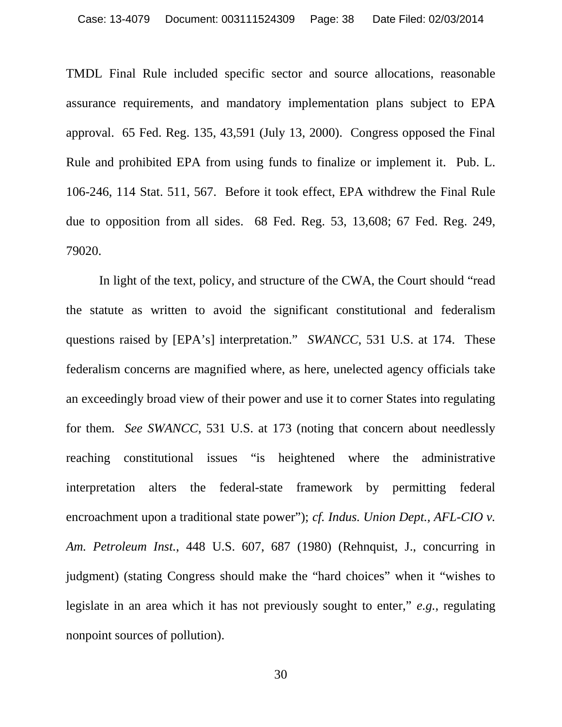TMDL Final Rule included specific sector and source allocations, reasonable assurance requirements, and mandatory implementation plans subject to EPA approval. 65 Fed. Reg. 135, 43,591 (July 13, 2000). Congress opposed the Final Rule and prohibited EPA from using funds to finalize or implement it. Pub. L. 106-246, 114 Stat. 511, 567. Before it took effect, EPA withdrew the Final Rule due to opposition from all sides. 68 Fed. Reg. 53, 13,608; 67 Fed. Reg. 249, 79020.

In light of the text, policy, and structure of the CWA, the Court should "read the statute as written to avoid the significant constitutional and federalism questions raised by [EPA's] interpretation." *SWANCC*, 531 U.S. at 174. These federalism concerns are magnified where, as here, unelected agency officials take an exceedingly broad view of their power and use it to corner States into regulating for them. *See SWANCC*, 531 U.S. at 173 (noting that concern about needlessly reaching constitutional issues "is heightened where the administrative interpretation alters the federal-state framework by permitting federal encroachment upon a traditional state power"); *cf. Indus. Union Dept., AFL-CIO v. Am. Petroleum Inst.*, 448 U.S. 607, 687 (1980) (Rehnquist, J., concurring in judgment) (stating Congress should make the "hard choices" when it "wishes to legislate in an area which it has not previously sought to enter," *e.g.*, regulating nonpoint sources of pollution).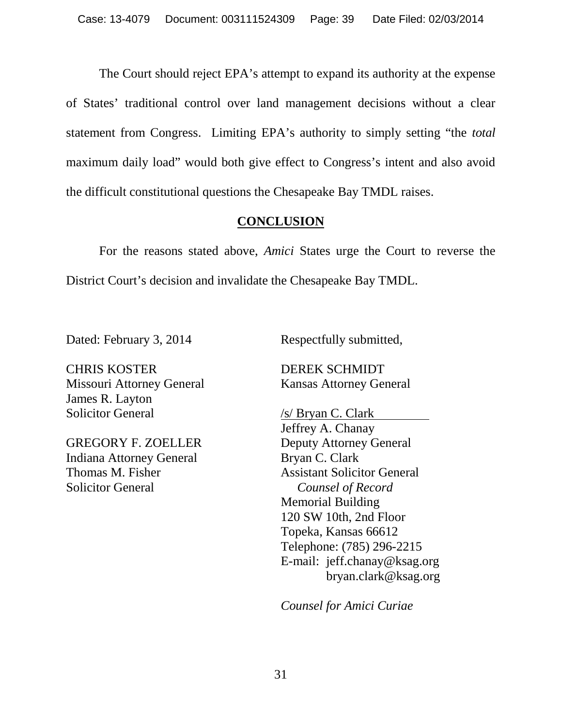The Court should reject EPA's attempt to expand its authority at the expense of States' traditional control over land management decisions without a clear statement from Congress. Limiting EPA's authority to simply setting "the *total* maximum daily load" would both give effect to Congress's intent and also avoid the difficult constitutional questions the Chesapeake Bay TMDL raises.

## **CONCLUSION**

For the reasons stated above, *Amici* States urge the Court to reverse the District Court's decision and invalidate the Chesapeake Bay TMDL.

CHRIS KOSTER DEREK SCHMIDT Missouri Attorney General Kansas Attorney General James R. Layton Solicitor General /s/ Bryan C. Clark

GREGORY F. ZOELLER Deputy Attorney General Indiana Attorney General Bryan C. Clark Solicitor General *Counsel of Record*

Dated: February 3, 2014 Respectfully submitted,

Jeffrey A. Chanay Thomas M. Fisher Assistant Solicitor General Memorial Building 120 SW 10th, 2nd Floor Topeka, Kansas 66612 Telephone: (785) 296-2215 E-mail: jeff.chanay@ksag.org bryan.clark@ksag.org

*Counsel for Amici Curiae*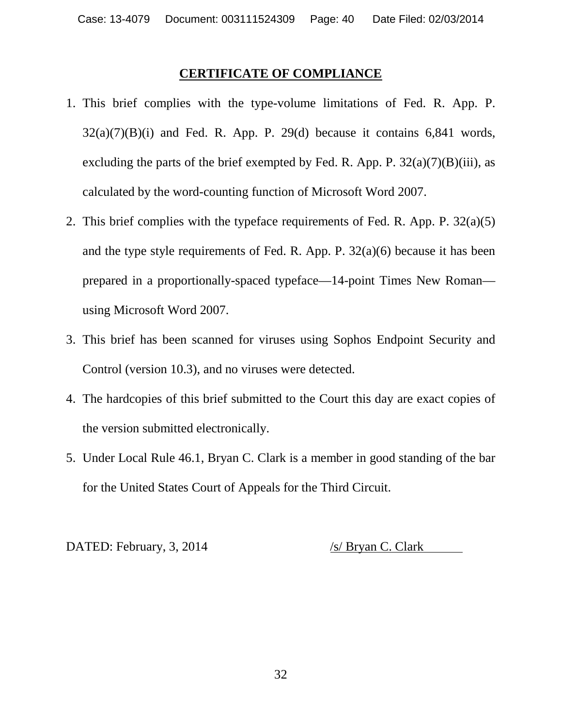#### **CERTIFICATE OF COMPLIANCE**

- 1. This brief complies with the type-volume limitations of Fed. R. App. P.  $32(a)(7)(B)(i)$  and Fed. R. App. P. 29(d) because it contains 6,841 words, excluding the parts of the brief exempted by Fed. R. App. P.  $32(a)(7)(B)(iii)$ , as calculated by the word-counting function of Microsoft Word 2007.
- 2. This brief complies with the typeface requirements of Fed. R. App. P. 32(a)(5) and the type style requirements of Fed. R. App. P. 32(a)(6) because it has been prepared in a proportionally-spaced typeface—14-point Times New Roman using Microsoft Word 2007.
- 3. This brief has been scanned for viruses using Sophos Endpoint Security and Control (version 10.3), and no viruses were detected.
- 4. The hardcopies of this brief submitted to the Court this day are exact copies of the version submitted electronically.
- 5. Under Local Rule 46.1, Bryan C. Clark is a member in good standing of the bar for the United States Court of Appeals for the Third Circuit.

DATED: February, 3, 2014 /s/ Bryan C. Clark